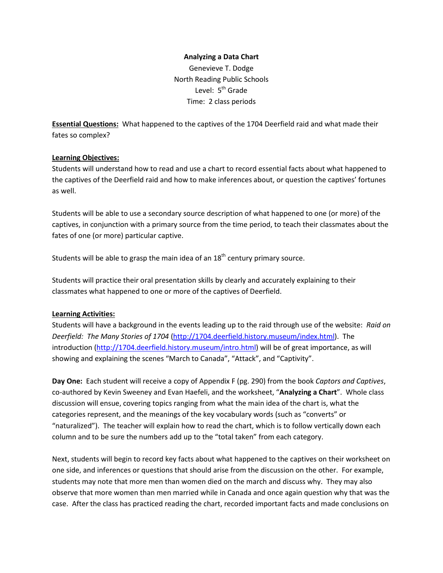#### **Analyzing a Data Chart**

Genevieve T. Dodge North Reading Public Schools Level: 5<sup>th</sup> Grade Time: 2 class periods

**Essential Questions:** What happened to the captives of the 1704 Deerfield raid and what made their fates so complex?

#### **Learning Objectives:**

Students will understand how to read and use a chart to record essential facts about what happened to the captives of the Deerfield raid and how to make inferences about, or question the captives' fortunes as well.

Students will be able to use a secondary source description of what happened to one (or more) of the captives, in conjunction with a primary source from the time period, to teach their classmates about the fates of one (or more) particular captive.

Students will be able to grasp the main idea of an  $18<sup>th</sup>$  century primary source.

Students will practice their oral presentation skills by clearly and accurately explaining to their classmates what happened to one or more of the captives of Deerfield.

#### **Learning Activities:**

Students will have a background in the events leading up to the raid through use of the website: *Raid on Deerfield: The Many Stories of 1704* [\(http://1704.deerfield.history.museum/index.html\)](http://1704.deerfield.history.museum/index.html). The introduction [\(http://1704.deerfield.history.museum/intro.html\)](http://1704.deerfield.history.museum/intro.html) will be of great importance, as will showing and explaining the scenes "March to Canada", "Attack", and "Captivity".

**Day One:** Each student will receive a copy of Appendix F (pg. 290) from the book *Captors and Captives*, co-authored by Kevin Sweeney and Evan Haefeli, and the worksheet, "**Analyzing a Chart**". Whole class discussion will ensue, covering topics ranging from what the main idea of the chart is, what the categories represent, and the meanings of the key vocabulary words (such as "converts" or "naturalized"). The teacher will explain how to read the chart, which is to follow vertically down each column and to be sure the numbers add up to the "total taken" from each category.

Next, students will begin to record key facts about what happened to the captives on their worksheet on one side, and inferences or questions that should arise from the discussion on the other. For example, students may note that more men than women died on the march and discuss why. They may also observe that more women than men married while in Canada and once again question why that was the case. After the class has practiced reading the chart, recorded important facts and made conclusions on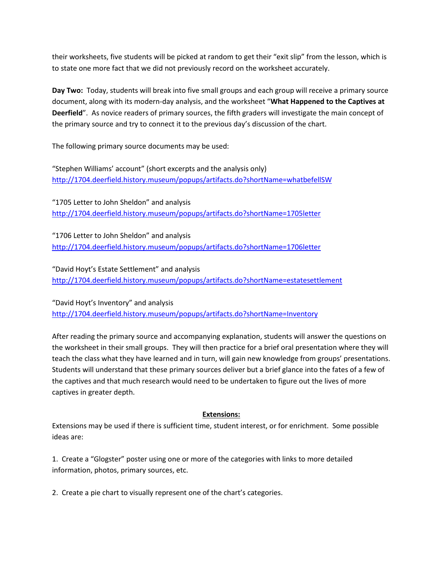their worksheets, five students will be picked at random to get their "exit slip" from the lesson, which is to state one more fact that we did not previously record on the worksheet accurately.

**Day Two:** Today, students will break into five small groups and each group will receive a primary source document, along with its modern-day analysis, and the worksheet "**What Happened to the Captives at Deerfield**". As novice readers of primary sources, the fifth graders will investigate the main concept of the primary source and try to connect it to the previous day's discussion of the chart.

The following primary source documents may be used:

"Stephen Williams' account" (short excerpts and the analysis only) <http://1704.deerfield.history.museum/popups/artifacts.do?shortName=whatbefellSW>

"1705 Letter to John Sheldon" and analysis <http://1704.deerfield.history.museum/popups/artifacts.do?shortName=1705letter>

"1706 Letter to John Sheldon" and analysis <http://1704.deerfield.history.museum/popups/artifacts.do?shortName=1706letter>

"David Hoyt's Estate Settlement" and analysis <http://1704.deerfield.history.museum/popups/artifacts.do?shortName=estatesettlement>

"David Hoyt's Inventory" and analysis <http://1704.deerfield.history.museum/popups/artifacts.do?shortName=Inventory>

After reading the primary source and accompanying explanation, students will answer the questions on the worksheet in their small groups. They will then practice for a brief oral presentation where they will teach the class what they have learned and in turn, will gain new knowledge from groups' presentations. Students will understand that these primary sources deliver but a brief glance into the fates of a few of the captives and that much research would need to be undertaken to figure out the lives of more captives in greater depth.

### **Extensions:**

Extensions may be used if there is sufficient time, student interest, or for enrichment. Some possible ideas are:

1. Create a "Glogster" poster using one or more of the categories with links to more detailed information, photos, primary sources, etc.

2. Create a pie chart to visually represent one of the chart's categories.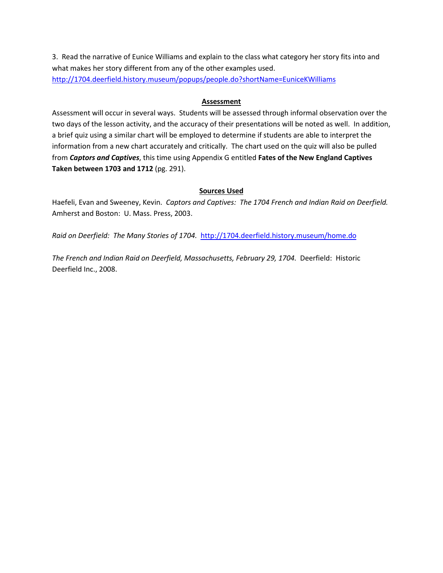3. Read the narrative of Eunice Williams and explain to the class what category her story fits into and what makes her story different from any of the other examples used. <http://1704.deerfield.history.museum/popups/people.do?shortName=EuniceKWilliams>

#### **Assessment**

Assessment will occur in several ways. Students will be assessed through informal observation over the two days of the lesson activity, and the accuracy of their presentations will be noted as well. In addition, a brief quiz using a similar chart will be employed to determine if students are able to interpret the information from a new chart accurately and critically. The chart used on the quiz will also be pulled from *Captors and Captives*, this time using Appendix G entitled **Fates of the New England Captives Taken between 1703 and 1712** (pg. 291).

#### **Sources Used**

Haefeli, Evan and Sweeney, Kevin. *Captors and Captives: The 1704 French and Indian Raid on Deerfield.* Amherst and Boston: U. Mass. Press, 2003.

*Raid on Deerfield: The Many Stories of 1704.*<http://1704.deerfield.history.museum/home.do>

*The French and Indian Raid on Deerfield, Massachusetts, February 29, 1704.* Deerfield: Historic Deerfield Inc., 2008.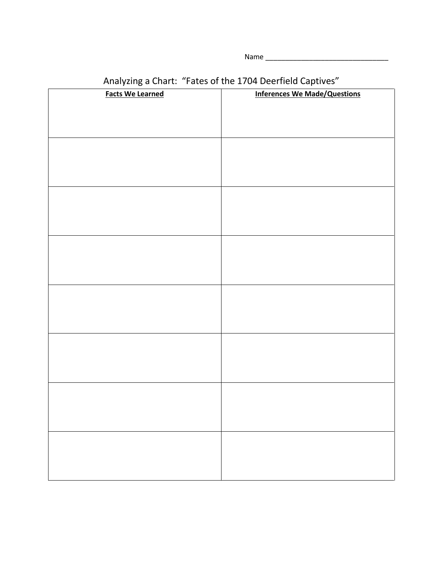Name \_\_\_\_\_\_\_\_\_\_\_\_\_\_\_\_\_\_\_\_\_\_\_\_\_\_\_\_\_\_\_

| <b>Facts We Learned</b> | <b>Inferences We Made/Questions</b> |
|-------------------------|-------------------------------------|
|                         |                                     |
|                         |                                     |
|                         |                                     |
|                         |                                     |
|                         |                                     |
|                         |                                     |
|                         |                                     |
|                         |                                     |
|                         |                                     |
|                         |                                     |
|                         |                                     |
|                         |                                     |
|                         |                                     |
|                         |                                     |
|                         |                                     |
|                         |                                     |
|                         |                                     |
|                         |                                     |
|                         |                                     |
|                         |                                     |
|                         |                                     |
|                         |                                     |
|                         |                                     |
|                         |                                     |
|                         |                                     |
|                         |                                     |
|                         |                                     |
|                         |                                     |
|                         |                                     |
|                         |                                     |
|                         |                                     |

# Analyzing a Chart: "Fates of the 1704 Deerfield Captives"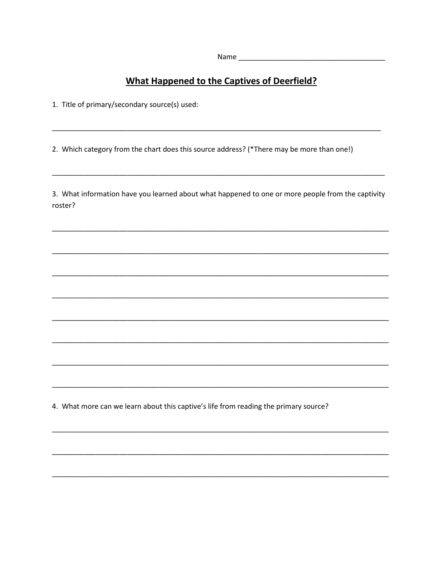## **What Happened to the Captives of Deerfield?**

1. Title of primary/secondary source(s) used:

2. Which category from the chart does this source address? (\*There may be more than one!)

3. What information have you learned about what happened to one or more people from the captivity roster?

4. What more can we learn about this captive's life from reading the primary source?